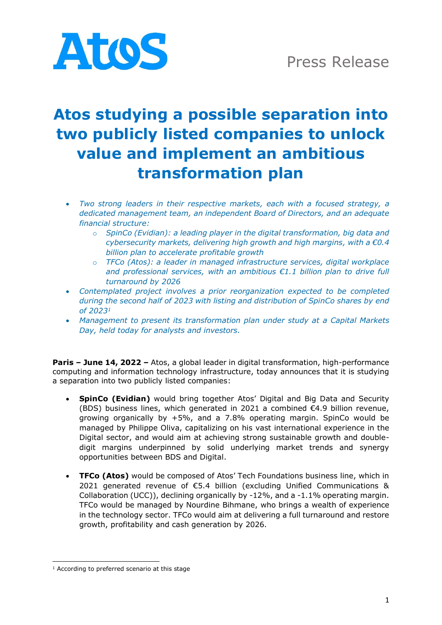

# **Atos studying a possible separation into two publicly listed companies to unlock value and implement an ambitious transformation plan**

- *Two strong leaders in their respective markets, each with a focused strategy, a dedicated management team, an independent Board of Directors, and an adequate financial structure:*
	- o *SpinCo (Evidian): a leading player in the digital transformation, big data and cybersecurity markets, delivering high growth and high margins, with a €0.4 billion plan to accelerate profitable growth*
	- o *TFCo (Atos): a leader in managed infrastructure services, digital workplace and professional services, with an ambitious €1.1 billion plan to drive full turnaround by 2026*
- *Contemplated project involves a prior reorganization expected to be completed during the second half of 2023 with listing and distribution of SpinCo shares by end of 2023<sup>1</sup>*
- *Management to present its transformation plan under study at a Capital Markets Day, held today for analysts and investors.*

**Paris – June 14, 2022 –** Atos, a global leader in digital transformation, high-performance computing and information technology infrastructure, today announces that it is studying a separation into two publicly listed companies:

- **SpinCo (Evidian)** would bring together Atos' Digital and Big Data and Security (BDS) business lines, which generated in 2021 a combined  $\epsilon$ 4.9 billion revenue, growing organically by +5%, and a 7.8% operating margin. SpinCo would be managed by Philippe Oliva, capitalizing on his vast international experience in the Digital sector, and would aim at achieving strong sustainable growth and doubledigit margins underpinned by solid underlying market trends and synergy opportunities between BDS and Digital.
- **TFCo (Atos)** would be composed of Atos' Tech Foundations business line, which in 2021 generated revenue of €5.4 billion (excluding Unified Communications & Collaboration (UCC)), declining organically by -12%, and a -1.1% operating margin. TFCo would be managed by Nourdine Bihmane, who brings a wealth of experience in the technology sector. TFCo would aim at delivering a full turnaround and restore growth, profitability and cash generation by 2026.

<sup>&</sup>lt;sup>1</sup> According to preferred scenario at this stage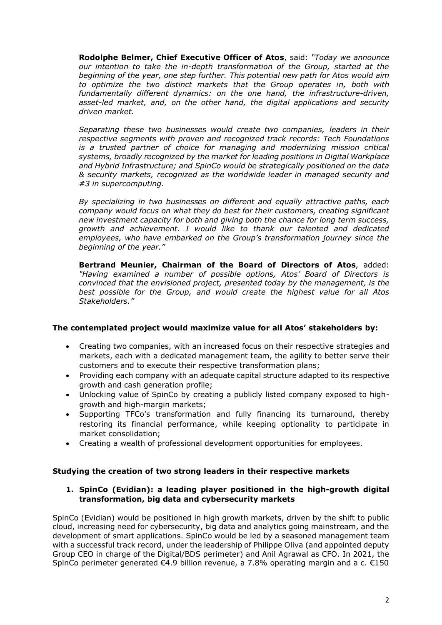**Rodolphe Belmer, Chief Executive Officer of Atos**, said: *"Today we announce our intention to take the in-depth transformation of the Group, started at the beginning of the year, one step further. This potential new path for Atos would aim to optimize the two distinct markets that the Group operates in, both with fundamentally different dynamics: on the one hand, the infrastructure-driven, asset-led market, and, on the other hand, the digital applications and security driven market.*

*Separating these two businesses would create two companies, leaders in their respective segments with proven and recognized track records: Tech Foundations is a trusted partner of choice for managing and modernizing mission critical systems, broadly recognized by the market for leading positions in Digital Workplace and Hybrid Infrastructure; and SpinCo would be strategically positioned on the data & security markets, recognized as the worldwide leader in managed security and #3 in supercomputing.* 

*By specializing in two businesses on different and equally attractive paths, each company would focus on what they do best for their customers, creating significant new investment capacity for both and giving both the chance for long term success, growth and achievement. I would like to thank our talented and dedicated employees, who have embarked on the Group's transformation journey since the beginning of the year."*

**Bertrand Meunier, Chairman of the Board of Directors of Atos**, added: *"Having examined a number of possible options, Atos' Board of Directors is convinced that the envisioned project, presented today by the management, is the best possible for the Group, and would create the highest value for all Atos Stakeholders."*

# **The contemplated project would maximize value for all Atos' stakeholders by:**

- Creating two companies, with an increased focus on their respective strategies and markets, each with a dedicated management team, the agility to better serve their customers and to execute their respective transformation plans;
- Providing each company with an adequate capital structure adapted to its respective growth and cash generation profile;
- Unlocking value of SpinCo by creating a publicly listed company exposed to highgrowth and high-margin markets;
- Supporting TFCo's transformation and fully financing its turnaround, thereby restoring its financial performance, while keeping optionality to participate in market consolidation;
- Creating a wealth of professional development opportunities for employees.

# **Studying the creation of two strong leaders in their respective markets**

# **1. SpinCo (Evidian): a leading player positioned in the high-growth digital transformation, big data and cybersecurity markets**

SpinCo (Evidian) would be positioned in high growth markets, driven by the shift to public cloud, increasing need for cybersecurity, big data and analytics going mainstream, and the development of smart applications. SpinCo would be led by a seasoned management team with a successful track record, under the leadership of Philippe Oliva (and appointed deputy Group CEO in charge of the Digital/BDS perimeter) and Anil Agrawal as CFO. In 2021, the SpinCo perimeter generated €4.9 billion revenue, a 7.8% operating margin and a c. €150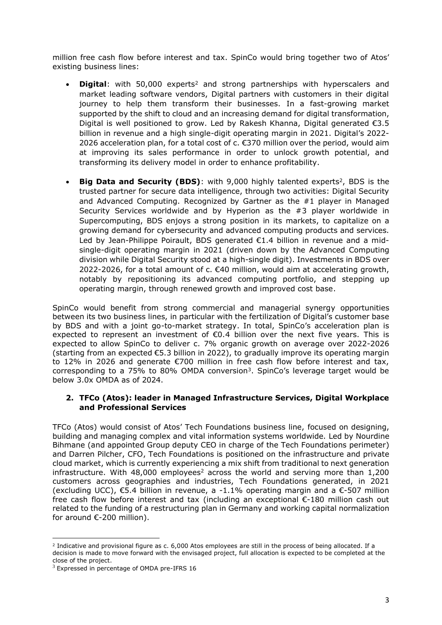million free cash flow before interest and tax. SpinCo would bring together two of Atos' existing business lines:

- **Digital**: with 50,000 experts<sup>2</sup> and strong partnerships with hyperscalers and market leading software vendors, Digital partners with customers in their digital journey to help them transform their businesses. In a fast-growing market supported by the shift to cloud and an increasing demand for digital transformation, Digital is well positioned to grow. Led by Rakesh Khanna, Digital generated €3.5 billion in revenue and a high single-digit operating margin in 2021. Digital's 2022- 2026 acceleration plan, for a total cost of  $c$ . €370 million over the period, would aim at improving its sales performance in order to unlock growth potential, and transforming its delivery model in order to enhance profitability.
- **Big Data and Security (BDS)**: with 9,000 highly talented experts<sup>2</sup>, BDS is the trusted partner for secure data intelligence, through two activities: Digital Security and Advanced Computing. Recognized by Gartner as the #1 player in Managed Security Services worldwide and by Hyperion as the #3 player worldwide in Supercomputing, BDS enjoys a strong position in its markets, to capitalize on a growing demand for cybersecurity and advanced computing products and services. Led by Jean-Philippe Poirault, BDS generated €1.4 billion in revenue and a midsingle-digit operating margin in 2021 (driven down by the Advanced Computing division while Digital Security stood at a high-single digit). Investments in BDS over 2022-2026, for a total amount of c. €40 million, would aim at accelerating growth, notably by repositioning its advanced computing portfolio, and stepping up operating margin, through renewed growth and improved cost base.

SpinCo would benefit from strong commercial and managerial synergy opportunities between its two business lines, in particular with the fertilization of Digital's customer base by BDS and with a joint go-to-market strategy. In total, SpinCo's acceleration plan is expected to represent an investment of  $\epsilon$ 0.4 billion over the next five years. This is expected to allow SpinCo to deliver c. 7% organic growth on average over 2022-2026 (starting from an expected €5.3 billion in 2022), to gradually improve its operating margin to 12% in 2026 and generate €700 million in free cash flow before interest and tax, corresponding to a 75% to 80% OMDA conversion<sup>3</sup>. SpinCo's leverage target would be below 3.0x OMDA as of 2024.

### **2. TFCo (Atos): leader in Managed Infrastructure Services, Digital Workplace and Professional Services**

TFCo (Atos) would consist of Atos' Tech Foundations business line, focused on designing, building and managing complex and vital information systems worldwide. Led by Nourdine Bihmane (and appointed Group deputy CEO in charge of the Tech Foundations perimeter) and Darren Pilcher, CFO, Tech Foundations is positioned on the infrastructure and private cloud market, which is currently experiencing a mix shift from traditional to next generation infrastructure. With  $48,000$  employees<sup>2</sup> across the world and serving more than  $1,200$ customers across geographies and industries, Tech Foundations generated, in 2021 (excluding UCC),  $\epsilon$ 5.4 billion in revenue, a -1.1% operating margin and a  $\epsilon$ -507 million free cash flow before interest and tax (including an exceptional €-180 million cash out related to the funding of a restructuring plan in Germany and working capital normalization for around €-200 million).

<sup>&</sup>lt;sup>2</sup> Indicative and provisional figure as c. 6,000 Atos employees are still in the process of being allocated. If a decision is made to move forward with the envisaged project, full allocation is expected to be completed at the close of the project.

 $3$  Expressed in percentage of OMDA pre-IFRS 16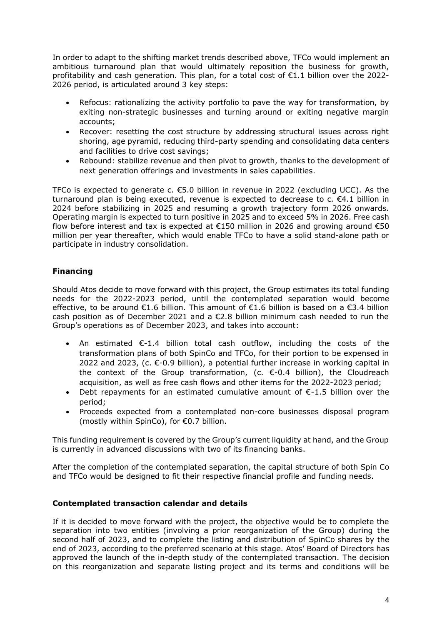In order to adapt to the shifting market trends described above, TFCo would implement an ambitious turnaround plan that would ultimately reposition the business for growth, profitability and cash generation. This plan, for a total cost of €1.1 billion over the 2022-2026 period, is articulated around 3 key steps:

- Refocus: rationalizing the activity portfolio to pave the way for transformation, by exiting non-strategic businesses and turning around or exiting negative margin accounts;
- Recover: resetting the cost structure by addressing structural issues across right shoring, age pyramid, reducing third-party spending and consolidating data centers and facilities to drive cost savings;
- Rebound: stabilize revenue and then pivot to growth, thanks to the development of next generation offerings and investments in sales capabilities.

TFCo is expected to generate c. €5.0 billion in revenue in 2022 (excluding UCC). As the turnaround plan is being executed, revenue is expected to decrease to c. €4.1 billion in 2024 before stabilizing in 2025 and resuming a growth trajectory form 2026 onwards. Operating margin is expected to turn positive in 2025 and to exceed 5% in 2026. Free cash flow before interest and tax is expected at  $£150$  million in 2026 and growing around  $£50$ million per year thereafter, which would enable TFCo to have a solid stand-alone path or participate in industry consolidation.

# **Financing**

Should Atos decide to move forward with this project, the Group estimates its total funding needs for the 2022-2023 period, until the contemplated separation would become effective, to be around  $\epsilon$ 1.6 billion. This amount of  $\epsilon$ 1.6 billion is based on a  $\epsilon$ 3.4 billion cash position as of December 2021 and a  $\epsilon$ 2.8 billion minimum cash needed to run the Group's operations as of December 2023, and takes into account:

- An estimated €-1.4 billion total cash outflow, including the costs of the transformation plans of both SpinCo and TFCo, for their portion to be expensed in 2022 and 2023, (c.  $\epsilon$ -0.9 billion), a potential further increase in working capital in the context of the Group transformation, (c.  $\epsilon$ -0.4 billion), the Cloudreach acquisition, as well as free cash flows and other items for the 2022-2023 period;
- Debt repayments for an estimated cumulative amount of  $E-1.5$  billion over the period;
- Proceeds expected from a contemplated non-core businesses disposal program (mostly within SpinCo), for €0.7 billion.

This funding requirement is covered by the Group's current liquidity at hand, and the Group is currently in advanced discussions with two of its financing banks.

After the completion of the contemplated separation, the capital structure of both Spin Co and TFCo would be designed to fit their respective financial profile and funding needs.

# **Contemplated transaction calendar and details**

If it is decided to move forward with the project, the objective would be to complete the separation into two entities (involving a prior reorganization of the Group) during the second half of 2023, and to complete the listing and distribution of SpinCo shares by the end of 2023, according to the preferred scenario at this stage. Atos' Board of Directors has approved the launch of the in-depth study of the contemplated transaction. The decision on this reorganization and separate listing project and its terms and conditions will be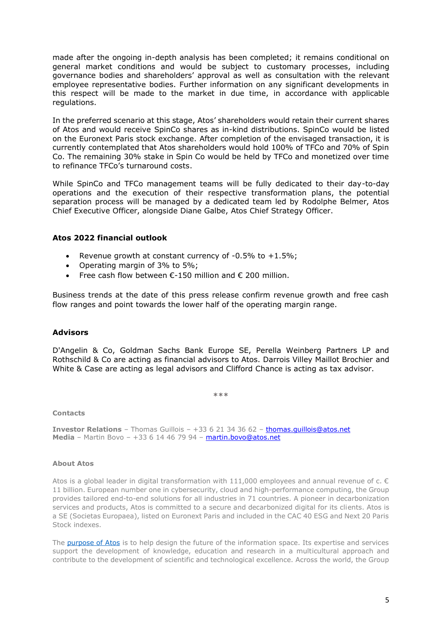made after the ongoing in-depth analysis has been completed; it remains conditional on general market conditions and would be subject to customary processes, including governance bodies and shareholders' approval as well as consultation with the relevant employee representative bodies. Further information on any significant developments in this respect will be made to the market in due time, in accordance with applicable regulations.

In the preferred scenario at this stage, Atos' shareholders would retain their current shares of Atos and would receive SpinCo shares as in-kind distributions. SpinCo would be listed on the Euronext Paris stock exchange. After completion of the envisaged transaction, it is currently contemplated that Atos shareholders would hold 100% of TFCo and 70% of Spin Co. The remaining 30% stake in Spin Co would be held by TFCo and monetized over time to refinance TFCo's turnaround costs.

While SpinCo and TFCo management teams will be fully dedicated to their day-to-day operations and the execution of their respective transformation plans, the potential separation process will be managed by a dedicated team led by Rodolphe Belmer, Atos Chief Executive Officer, alongside Diane Galbe, Atos Chief Strategy Officer.

### **Atos 2022 financial outlook**

- Revenue growth at constant currency of  $-0.5\%$  to  $+1.5\%$ ;
- Operating margin of 3% to 5%;
- Free cash flow between  $\epsilon$ -150 million and  $\epsilon$  200 million.

Business trends at the date of this press release confirm revenue growth and free cash flow ranges and point towards the lower half of the operating margin range.

#### **Advisors**

D'Angelin & Co, Goldman Sachs Bank Europe SE, Perella Weinberg Partners LP and Rothschild & Co are acting as financial advisors to Atos. Darrois Villey Maillot Brochier and White & Case are acting as legal advisors and Clifford Chance is acting as tax advisor.

**\*\*\***

#### **Contacts**

**Investor Relations** – Thomas Guillois – +33 6 21 34 36 62 – thomas.quillois@atos.net **Media** – Martin Bovo – +33 6 14 46 79 94 – [martin.bovo@atos.net](mailto:martin.bovo@atos.net)

#### **About Atos**

Atos is a global leader in digital transformation with 111,000 employees and annual revenue of c.  $\epsilon$ 11 billion. European number one in cybersecurity, cloud and high-performance computing, the Group provides tailored end-to-end solutions for all industries in 71 countries. A pioneer in decarbonization services and products, Atos is committed to a secure and decarbonized digital for its clients. Atos is a SE (Societas Europaea), listed on Euronext Paris and included in the CAC 40 ESG and Next 20 Paris Stock indexes.

The [purpose of Atos](https://atos.net/en/raison-detre) is to help design the future of the information space. Its expertise and services support the development of knowledge, education and research in a multicultural approach and contribute to the development of scientific and technological excellence. Across the world, the Group